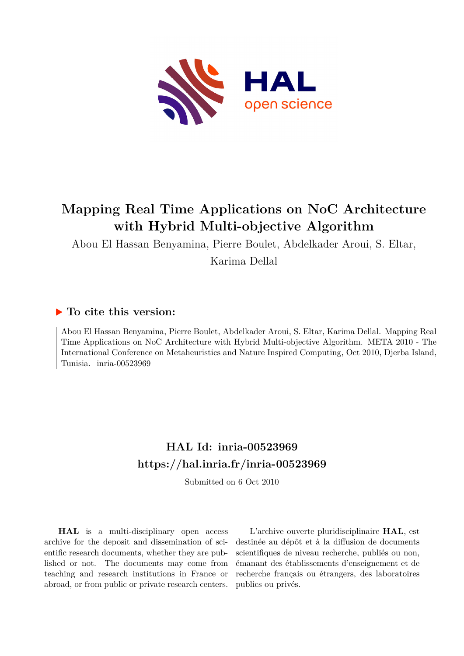

# **Mapping Real Time Applications on NoC Architecture with Hybrid Multi-objective Algorithm**

Abou El Hassan Benyamina, Pierre Boulet, Abdelkader Aroui, S. Eltar,

Karima Dellal

# **To cite this version:**

Abou El Hassan Benyamina, Pierre Boulet, Abdelkader Aroui, S. Eltar, Karima Dellal. Mapping Real Time Applications on NoC Architecture with Hybrid Multi-objective Algorithm. META 2010 - The International Conference on Metaheuristics and Nature Inspired Computing, Oct 2010, Djerba Island, Tunisia. inria-00523969

# **HAL Id: inria-00523969 <https://hal.inria.fr/inria-00523969>**

Submitted on 6 Oct 2010

**HAL** is a multi-disciplinary open access archive for the deposit and dissemination of scientific research documents, whether they are published or not. The documents may come from teaching and research institutions in France or abroad, or from public or private research centers.

L'archive ouverte pluridisciplinaire **HAL**, est destinée au dépôt et à la diffusion de documents scientifiques de niveau recherche, publiés ou non, émanant des établissements d'enseignement et de recherche français ou étrangers, des laboratoires publics ou privés.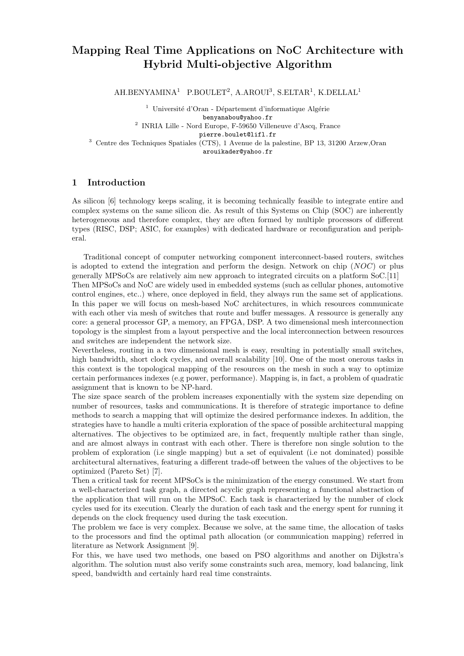# Mapping Real Time Applications on NoC Architecture with Hybrid Multi-objective Algorithm

 $AH.BENYAMINA<sup>1</sup>$  P.BOULET<sup>2</sup>, A.AROUI<sup>3</sup>, S.ELTAR<sup>1</sup>, K.DELLAL<sup>1</sup>

<sup>1</sup> Université d'Oran - Département d'informatique Algérie benyanabou@yahoo.fr 2 INRIA Lille - Nord Europe, F-59650 Villeneuve d'Ascq, France

pierre.boulet@lifl.fr

<sup>3</sup> Centre des Techniques Spatiales (CTS), 1 Avenue de la palestine, BP 13, 31200 Arzew,Oran arouikader@yahoo.fr

# 1 Introduction

As silicon [6] technology keeps scaling, it is becoming technically feasible to integrate entire and complex systems on the same silicon die. As result of this Systems on Chip (SOC) are inherently heterogeneous and therefore complex, they are often formed by multiple processors of different types (RISC, DSP; ASIC, for examples) with dedicated hardware or reconfiguration and peripheral.

Traditional concept of computer networking component interconnect-based routers, switches is adopted to extend the integration and perform the design. Network on chip (NOC) or plus generally MPSoCs are relatively aim new approach to integrated circuits on a platform SoC.[11] Then MPSoCs and NoC are widely used in embedded systems (such as cellular phones, automotive control engines, etc..) where, once deployed in field, they always run the same set of applications. In this paper we will focus on mesh-based NoC architectures, in which resources communicate with each other via mesh of switches that route and buffer messages. A ressource is generally any core: a general processor GP, a memory, an FPGA, DSP. A two dimensional mesh interconnection topology is the simplest from a layout perspective and the local interconnection between resources and switches are independent the network size.

Nevertheless, routing in a two dimensional mesh is easy, resulting in potentially small switches, high bandwidth, short clock cycles, and overall scalability [10]. One of the most onerous tasks in this context is the topological mapping of the resources on the mesh in such a way to optimize certain performances indexes (e.g power, performance). Mapping is, in fact, a problem of quadratic assignment that is known to be NP-hard.

The size space search of the problem increases exponentially with the system size depending on number of resources, tasks and communications. It is therefore of strategic importance to define methods to search a mapping that will optimize the desired performance indexes. In addition, the strategies have to handle a multi criteria exploration of the space of possible architectural mapping alternatives. The objectives to be optimized are, in fact, frequently multiple rather than single, and are almost always in contrast with each other. There is therefore non single solution to the problem of exploration (i.e single mapping) but a set of equivalent (i.e not dominated) possible architectural alternatives, featuring a different trade-off between the values of the objectives to be optimized (Pareto Set) [7].

Then a critical task for recent MPSoCs is the minimization of the energy consumed. We start from a well-characterized task graph, a directed acyclic graph representing a functional abstraction of the application that will run on the MPSoC. Each task is characterized by the number of clock cycles used for its execution. Clearly the duration of each task and the energy spent for running it depends on the clock frequency used during the task execution.

The problem we face is very complex. Because we solve, at the same time, the allocation of tasks to the processors and find the optimal path allocation (or communication mapping) referred in literature as Network Assignment [9].

For this, we have used two methods, one based on PSO algorithms and another on Dijkstra's algorithm. The solution must also verify some constraints such area, memory, load balancing, link speed, bandwidth and certainly hard real time constraints.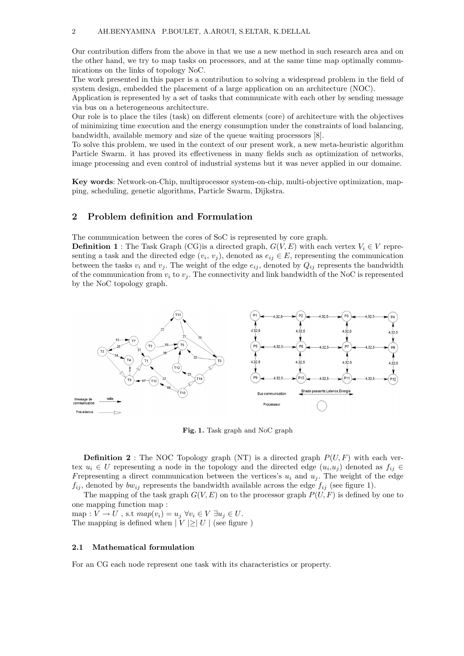Our contribution differs from the above in that we use a new method in such research area and on the other hand, we try to map tasks on processors, and at the same time map optimally communications on the links of topology NoC.

The work presented in this paper is a contribution to solving a widespread problem in the field of system design, embedded the placement of a large application on an architecture (NOC).

Application is represented by a set of tasks that communicate with each other by sending message via bus on a heterogeneous architecture.

Our role is to place the tiles (task) on different elements (core) of architecture with the objectives of minimizing time execution and the energy consumption under the constraints of load balancing, bandwidth, available memory and size of the queue waiting processors [8].

To solve this problem, we used in the context of our present work, a new meta-heuristic algorithm Particle Swarm. it has proved its effectiveness in many fields such as optimization of networks, image processing and even control of industrial systems but it was never applied in our domaine.

Key words: Network-on-Chip, multiprocessor system-on-chip, multi-objective optimization, mapping, scheduling, genetic algorithms, Particle Swarm, Dijkstra.

# 2 Problem definition and Formulation

The communication between the cores of SoC is represented by core graph.

**Definition 1**: The Task Graph (CG) is a directed graph,  $G(V, E)$  with each vertex  $V_i \in V$  representing a task and the directed edge  $(v_i, v_j)$ , denoted as  $e_{ij} \in E$ , representing the communication between the tasks  $v_i$  and  $v_j$ . The weight of the edge  $e_{ij}$ , denoted by  $Q_{ij}$  represents the bandwidth of the communication from  $v_i$  to  $v_j$ . The connectivity and link bandwidth of the NoC is represented by the NoC topology graph.



Fig. 1. Task graph and NoC graph

**Definition 2** : The NOC Topology graph (NT) is a directed graph  $P(U, F)$  with each vertex  $u_i \in U$  representing a node in the topology and the directed edge  $(u_i, u_j)$  denoted as  $f_{ij} \in$ Frepresenting a direct communication between the vertices's  $u_i$  and  $u_j$ . The weight of the edge  $f_{ij}$ , denoted by  $bw_{ij}$  represents the bandwidth available across the edge  $f_{ij}$  (see figure 1).

The mapping of the task graph  $G(V, E)$  on to the processor graph  $P(U, F)$  is defined by one to one mapping function map :

map :  $V \to U$ , s.t  $map(v_i) = u_j \,\,\forall v_i \in V \,\,\exists u_j \in U$ . The mapping is defined when  $|V| \geq |U|$  (see figure)

#### 2.1 Mathematical formulation

For an CG each node represent one task with its characteristics or property.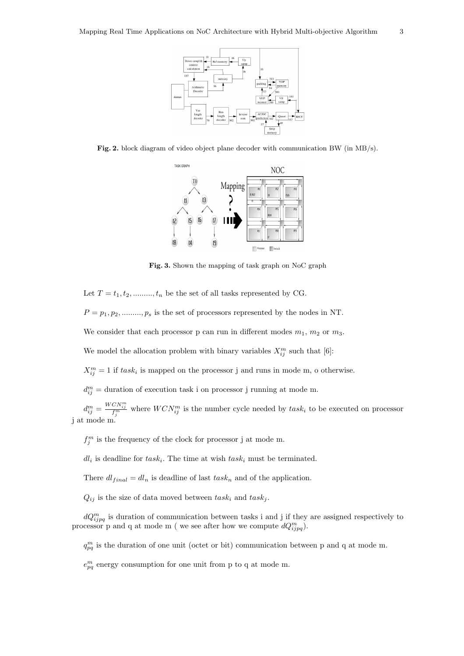

Fig. 2. block diagram of video object plane decoder with communication BW (in MB/s).



Fig. 3. Shown the mapping of task graph on NoC graph

Let  $T = t_1, t_2, \dots, t_n$  be the set of all tasks represented by CG.

 $P = p_1, p_2, \dots, p_s$  is the set of processors represented by the nodes in NT.

We consider that each processor p can run in different modes  $m_1$ ,  $m_2$  or  $m_3$ .

We model the allocation problem with binary variables  $X_{ij}^m$  such that [6]:

 $X_{ij}^{m} = 1$  if  $task_i$  is mapped on the processor j and runs in mode m, o otherwise.

 $d_{ij}^m =$  duration of execution task i on processor j running at mode m.

 $d_{ij}^m = \frac{WCN_{ij}^m}{f_j^m}$  where  $WCN_{ij}^m$  is the number cycle needed by  $task_i$  to be executed on processor j at mode m.

 $f_j^m$  is the frequency of the clock for processor j at mode m.

 $dl_i$  is deadline for  $task_i$ . The time at wish  $task_i$  must be terminated.

There  $dl_{final} = dl_n$  is deadline of last  $task_n$  and of the application.

 $Q_{ij}$  is the size of data moved between  $task_i$  and  $task_j$ .

 $dQ_{ijpq}^m$  is duration of communication between tasks i and j if they are assigned respectively to processor p and q at mode m (we see after how we compute  $dQ_{ijpq}^m$ ).

 $q_{pq}^m$  is the duration of one unit (octet or bit) communication between p and q at mode m.

 $e_{pq}^m$  energy consumption for one unit from p to q at mode m.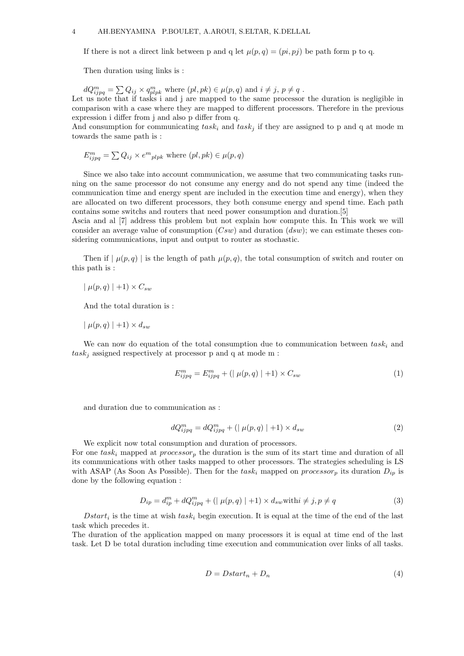If there is not a direct link between p and q let  $\mu(p,q) = (pi, pj)$  be path form p to q.

Then duration using links is :

 $dQ_{ijpq}^m = \sum Q_{ij} \times q_{plpk}^m$  where  $(pl, pk) \in \mu(p, q)$  and  $i \neq j, p \neq q$ . Let us note that if tasks i and j are mapped to the same processor the duration is negligible in

comparison with a case where they are mapped to different processors. Therefore in the previous expression i differ from j and also p differ from q.

And consumption for communicating  $task_i$  and  $task_j$  if they are assigned to p and q at mode m towards the same path is :

$$
E_{ijpq}^{m} = \sum Q_{ij} \times e^{m}{}_{plpk} \text{ where } (pl, pk) \in \mu(p, q)
$$

Since we also take into account communication, we assume that two communicating tasks running on the same processor do not consume any energy and do not spend any time (indeed the communication time and energy spent are included in the execution time and energy), when they are allocated on two different processors, they both consume energy and spend time. Each path contains some switchs and routers that need power consumption and duration.[5]

Ascia and al [7] address this problem but not explain how compute this. In This work we will consider an average value of consumption  $(Csw)$  and duration  $(dsw)$ ; we can estimate theses considering communications, input and output to router as stochastic.

Then if  $|\mu(p,q)|$  is the length of path  $\mu(p,q)$ , the total consumption of switch and router on this path is :

 $\mid \mu(p,q) \mid +1 \rangle \times C_{sw}$ 

And the total duration is :

 $|\mu(p,q)|+1 \rangle \times d_{sw}$ 

We can now do equation of the total consumption due to communication between  $task_i$  and  $task_i$  assigned respectively at processor p and q at mode m :

$$
E_{ijpq}^{m} = E_{ijpq}^{m} + (|\mu(p,q)| + 1) \times C_{sw}
$$
 (1)

and duration due to communication as :

$$
dQ_{ijpq}^m = dQ_{ijpq}^m + (|\mu(p,q)|+1) \times d_{sw}
$$
\n<sup>(2)</sup>

We explicit now total consumption and duration of processors.

For one task<sub>i</sub> mapped at *processor<sub>p</sub>* the duration is the sum of its start time and duration of all its communications with other tasks mapped to other processors. The strategies scheduling is LS with ASAP (As Soon As Possible). Then for the task<sub>i</sub> mapped on processor<sub>p</sub> its duration  $D_{ip}$  is done by the following equation :

$$
D_{ip} = d_{ip}^m + dQ_{ijpq}^m + (|\mu(p,q)| + 1) \times d_{sw} \text{with } i \neq j, p \neq q
$$
\n
$$
(3)
$$

 $Dstart_i$  is the time at wish  $task_i$  begin execution. It is equal at the time of the end of the last task which precedes it.

The duration of the application mapped on many processors it is equal at time end of the last task. Let D be total duration including time execution and communication over links of all tasks.

$$
D = Dstart_n + D_n \tag{4}
$$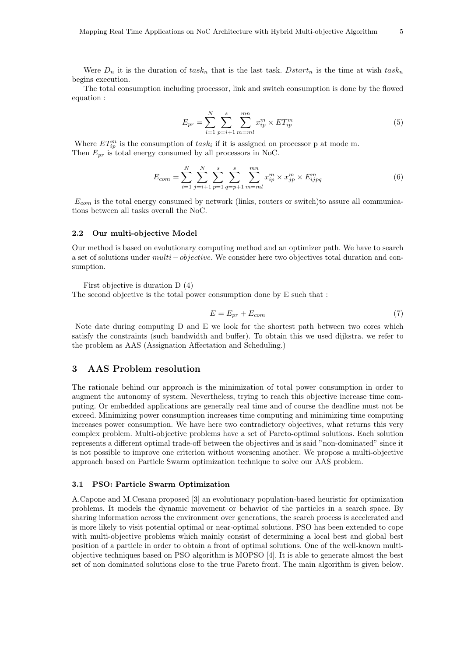Were  $D_n$  it is the duration of task<sub>n</sub> that is the last task. Dstart<sub>n</sub> is the time at wish task<sub>n</sub> begins execution.

The total consumption including processor, link and switch consumption is done by the flowed equation :

$$
E_{pr} = \sum_{i=1}^{N} \sum_{p=i+1}^{s} \sum_{m=ml}^{mn} x_{ip}^{m} \times ET_{ip}^{m}
$$
 (5)

Where  $ET_{ip}^m$  is the consumption of  $task_i$  if it is assigned on processor p at mode m. Then  $E_{pr}$  is total energy consumed by all processors in NoC.

$$
E_{com} = \sum_{i=1}^{N} \sum_{j=i+1}^{N} \sum_{p=1}^{s} \sum_{q=p+1}^{s} \sum_{m=ml}^{mn} x_{ip}^{m} \times x_{jp}^{m} \times E_{ijpq}^{m}
$$
(6)

 $E_{com}$  is the total energy consumed by network (links, routers or switch)to assure all communications between all tasks overall the NoC.

#### 2.2 Our multi-objective Model

Our method is based on evolutionary computing method and an optimizer path. We have to search a set of solutions under multi−objective. We consider here two objectives total duration and consumption.

First objective is duration D (4)

The second objective is the total power consumption done by E such that :

$$
E = E_{pr} + E_{com} \tag{7}
$$

Note date during computing D and E we look for the shortest path between two cores which satisfy the constraints (such bandwidth and buffer). To obtain this we used dijkstra. we refer to the problem as AAS (Assignation Affectation and Scheduling.)

## 3 AAS Problem resolution

The rationale behind our approach is the minimization of total power consumption in order to augment the autonomy of system. Nevertheless, trying to reach this objective increase time computing. Or embedded applications are generally real time and of course the deadline must not be exceed. Minimizing power consumption increases time computing and minimizing time computing increases power consumption. We have here two contradictory objectives, what returns this very complex problem. Multi-objective problems have a set of Pareto-optimal solutions. Each solution represents a different optimal trade-off between the objectives and is said "non-dominated" since it is not possible to improve one criterion without worsening another. We propose a multi-objective approach based on Particle Swarm optimization technique to solve our AAS problem.

#### 3.1 PSO: Particle Swarm Optimization

A.Capone and M.Cesana proposed [3] an evolutionary population-based heuristic for optimization problems. It models the dynamic movement or behavior of the particles in a search space. By sharing information across the environment over generations, the search process is accelerated and is more likely to visit potential optimal or near-optimal solutions. PSO has been extended to cope with multi-objective problems which mainly consist of determining a local best and global best position of a particle in order to obtain a front of optimal solutions. One of the well-known multiobjective techniques based on PSO algorithm is MOPSO [4]. It is able to generate almost the best set of non dominated solutions close to the true Pareto front. The main algorithm is given below.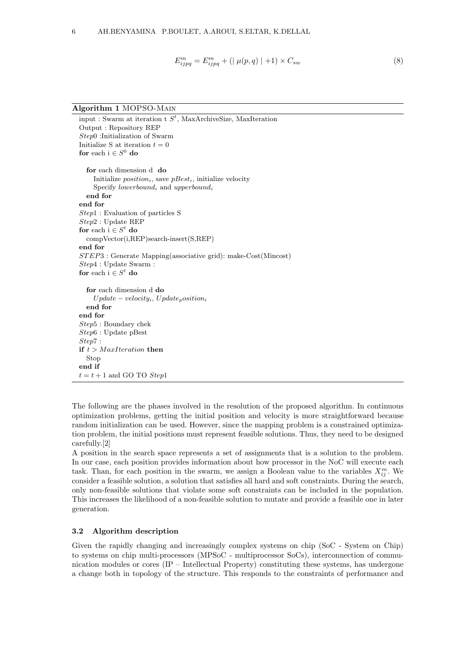$$
E_{ijpq}^{m} = E_{ijpq}^{m} + (|\mu(p,q)| + 1) \times C_{sw}
$$
\n(8)

Algorithm 1 MOPSO-Main

```
input : Swarm at iteration t S<sup>t</sup>, MaxArchiveSize, MaxIteration
Output : Repository REP
Step0 :Initialization of Swarm
Initialize S at iteration t = 0for each i \in S^0 do
  for each dimension d do
    Initialize position_i, save pBest_i, initialize velocity
    Specify lowerbound<sub>i</sub> and upperbound<sub>i</sub>
  end for
end for
Step1 : Evaluation of particles S
Step2 : Update REP
for each i \in S^t do
  compVector(i,REP)search-insert(S,REP)
end for
ST EP3 : Generate Mapping(associative grid): make-Cost(Mincost)
Step4 : Update Swarm :
for each i \in S^t do
  for each dimension d do
    Update - velocity_i, Update_position_iend for
end for
Step5 : Boundary chek
Step6 : Update pBest
Step7 :
if t > \text{MaxIteration} then
 Stop
end if
t = t + 1 and GO TO Step1
```
The following are the phases involved in the resolution of the proposed algorithm. In continuous optimization problems, getting the initial position and velocity is more straightforward because random initialization can be used. However, since the mapping problem is a constrained optimization problem, the initial positions must represent feasible solutions. Thus, they need to be designed carefully.[2]

A position in the search space represents a set of assignments that is a solution to the problem. In our case, each position provides information about how processor in the NoC will execute each task. Than, for each position in the swarm, we assign a Boolean value to the variables  $X_{ij}^m$ . We consider a feasible solution, a solution that satisfies all hard and soft constraints. During the search, only non-feasible solutions that violate some soft constraints can be included in the population. This increases the likelihood of a non-feasible solution to mutate and provide a feasible one in later generation.

## 3.2 Algorithm description

Given the rapidly changing and increasingly complex systems on chip (SoC - System on Chip) to systems on chip multi-processors (MPSoC - multiprocessor SoCs), interconnection of communication modules or cores (IP – Intellectual Property) constituting these systems, has undergone a change both in topology of the structure. This responds to the constraints of performance and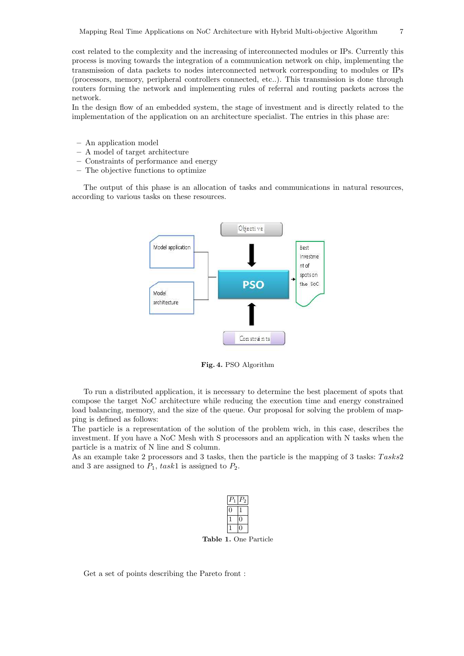cost related to the complexity and the increasing of interconnected modules or IPs. Currently this process is moving towards the integration of a communication network on chip, implementing the transmission of data packets to nodes interconnected network corresponding to modules or IPs (processors, memory, peripheral controllers connected, etc..). This transmission is done through routers forming the network and implementing rules of referral and routing packets across the network.

In the design flow of an embedded system, the stage of investment and is directly related to the implementation of the application on an architecture specialist. The entries in this phase are:

- An application model
- A model of target architecture
- Constraints of performance and energy
- The objective functions to optimize

The output of this phase is an allocation of tasks and communications in natural resources, according to various tasks on these resources.



Fig. 4. PSO Algorithm

To run a distributed application, it is necessary to determine the best placement of spots that compose the target NoC architecture while reducing the execution time and energy constrained load balancing, memory, and the size of the queue. Our proposal for solving the problem of mapping is defined as follows:

The particle is a representation of the solution of the problem wich, in this case, describes the investment. If you have a NoC Mesh with S processors and an application with N tasks when the particle is a matrix of N line and S column.

As an example take 2 processors and 3 tasks, then the particle is the mapping of 3 tasks:  $Tasks2$ and 3 are assigned to  $P_1$ , task1 is assigned to  $P_2$ .



Table 1. One Particle

Get a set of points describing the Pareto front :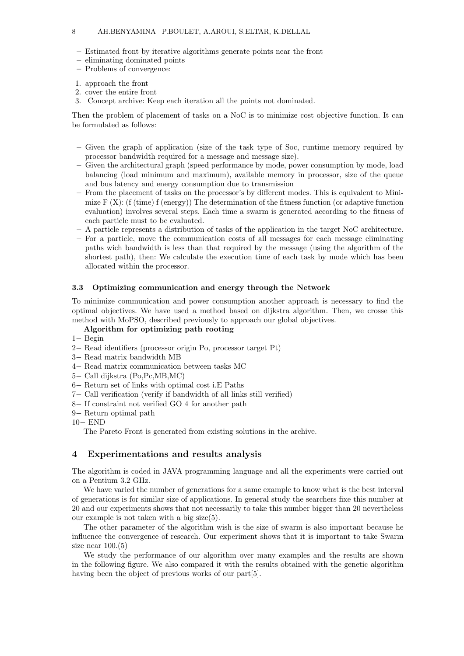- Estimated front by iterative algorithms generate points near the front
- eliminating dominated points
- Problems of convergence:
- 1. approach the front
- 2. cover the entire front
- 3. Concept archive: Keep each iteration all the points not dominated.

Then the problem of placement of tasks on a NoC is to minimize cost objective function. It can be formulated as follows:

- Given the graph of application (size of the task type of Soc, runtime memory required by processor bandwidth required for a message and message size).
- Given the architectural graph (speed performance by mode, power consumption by mode, load balancing (load minimum and maximum), available memory in processor, size of the queue and bus latency and energy consumption due to transmission
- From the placement of tasks on the processor's by different modes. This is equivalent to Minimize  $F(X)$ : (f (time) f (energy)) The determination of the fitness function (or adaptive function evaluation) involves several steps. Each time a swarm is generated according to the fitness of each particle must to be evaluated.
- A particle represents a distribution of tasks of the application in the target NoC architecture.
- For a particle, move the communication costs of all messages for each message eliminating paths wich bandwidth is less than that required by the message (using the algorithm of the shortest path), then: We calculate the execution time of each task by mode which has been allocated within the processor.

#### 3.3 Optimizing communication and energy through the Network

To minimize communication and power consumption another approach is necessary to find the optimal objectives. We have used a method based on dijkstra algorithm. Then, we crosse this method with MoPSO, described previously to approach our global objectives.

# Algorithm for optimizing path rooting

- 1− Begin
- 2− Read identifiers (processor origin Po, processor target Pt)
- 3− Read matrix bandwidth MB
- 4− Read matrix communication between tasks MC
- 5− Call dijkstra (Po,Pc,MB,MC)
- 6− Return set of links with optimal cost i.E Paths
- 7− Call verification (verify if bandwidth of all links still verified)
- 8− If constraint not verified GO 4 for another path
- 9− Return optimal path
- 10− END

The Pareto Front is generated from existing solutions in the archive.

# 4 Experimentations and results analysis

The algorithm is coded in JAVA programming language and all the experiments were carried out on a Pentium 3.2 GHz.

We have varied the number of generations for a same example to know what is the best interval of generations is for similar size of applications. In general study the searchers fixe this number at 20 and our experiments shows that not necessarily to take this number bigger than 20 nevertheless our example is not taken with a big size(5).

The other parameter of the algorithm wish is the size of swarm is also important because he influence the convergence of research. Our experiment shows that it is important to take Swarm size near  $100.(5)$ 

We study the performance of our algorithm over many examples and the results are shown in the following figure. We also compared it with the results obtained with the genetic algorithm having been the object of previous works of our part [5].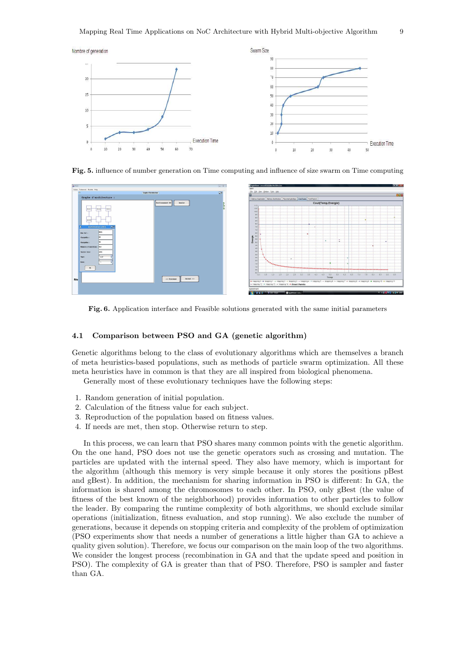





Fig. 6. Application interface and Feasible solutions generated with the same initial parameters

# 4.1 Comparison between PSO and GA (genetic algorithm)

Genetic algorithms belong to the class of evolutionary algorithms which are themselves a branch of meta heuristics-based populations, such as methods of particle swarm optimization. All these meta heuristics have in common is that they are all inspired from biological phenomena.

Generally most of these evolutionary techniques have the following steps:

- 1. Random generation of initial population.
- 2. Calculation of the fitness value for each subject.
- 3. Reproduction of the population based on fitness values.
- 4. If needs are met, then stop. Otherwise return to step.

In this process, we can learn that PSO shares many common points with the genetic algorithm. On the one hand, PSO does not use the genetic operators such as crossing and mutation. The particles are updated with the internal speed. They also have memory, which is important for the algorithm (although this memory is very simple because it only stores the positions pBest and gBest). In addition, the mechanism for sharing information in PSO is different: In GA, the information is shared among the chromosomes to each other. In PSO, only gBest (the value of fitness of the best known of the neighborhood) provides information to other particles to follow the leader. By comparing the runtime complexity of both algorithms, we should exclude similar operations (initialization, fitness evaluation, and stop running). We also exclude the number of generations, because it depends on stopping criteria and complexity of the problem of optimization (PSO experiments show that needs a number of generations a little higher than GA to achieve a quality given solution). Therefore, we focus our comparison on the main loop of the two algorithms. We consider the longest process (recombination in GA and that the update speed and position in PSO). The complexity of GA is greater than that of PSO. Therefore, PSO is sampler and faster than GA.